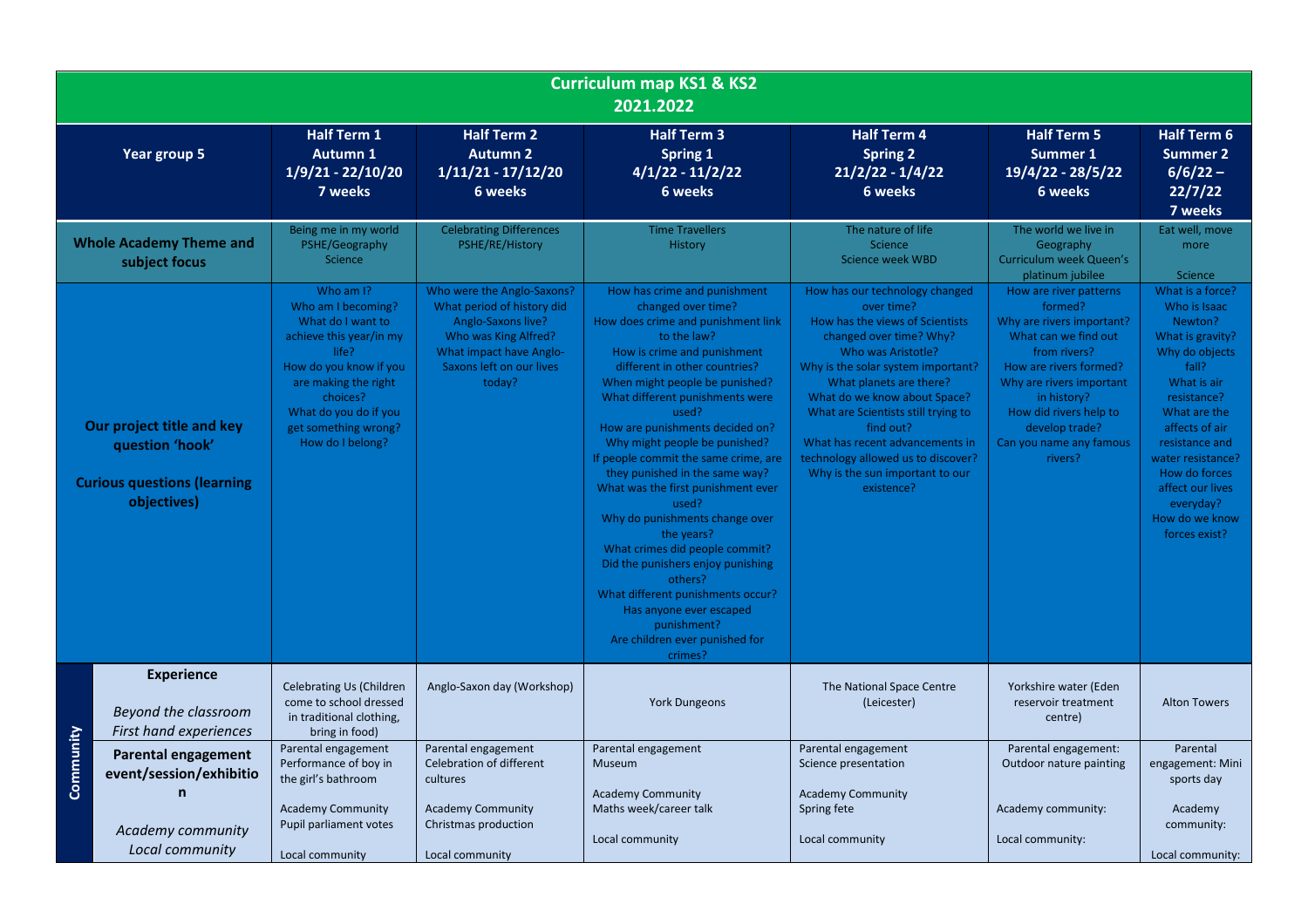| <b>Curriculum map KS1 &amp; KS2</b><br>2021.2022                                                  |                                                                     |                                                                                                                                                                                                                             |                                                                                                                                                                         |                                                                                                                                                                                                                                                                                                                                                                                                                                                                                                                                                                                                                                                                                                                  |                                                                                                                                                                                                                                                                                                                                                                                                                 |                                                                                                                                                                                                                                                               |                                                                                                                                                                                                                                                                                        |  |
|---------------------------------------------------------------------------------------------------|---------------------------------------------------------------------|-----------------------------------------------------------------------------------------------------------------------------------------------------------------------------------------------------------------------------|-------------------------------------------------------------------------------------------------------------------------------------------------------------------------|------------------------------------------------------------------------------------------------------------------------------------------------------------------------------------------------------------------------------------------------------------------------------------------------------------------------------------------------------------------------------------------------------------------------------------------------------------------------------------------------------------------------------------------------------------------------------------------------------------------------------------------------------------------------------------------------------------------|-----------------------------------------------------------------------------------------------------------------------------------------------------------------------------------------------------------------------------------------------------------------------------------------------------------------------------------------------------------------------------------------------------------------|---------------------------------------------------------------------------------------------------------------------------------------------------------------------------------------------------------------------------------------------------------------|----------------------------------------------------------------------------------------------------------------------------------------------------------------------------------------------------------------------------------------------------------------------------------------|--|
|                                                                                                   | Year group 5                                                        | <b>Half Term 1</b><br><b>Autumn 1</b><br>1/9/21 - 22/10/20<br>7 weeks                                                                                                                                                       | <b>Half Term 2</b><br><b>Autumn 2</b><br>$1/11/21 - 17/12/20$<br>6 weeks                                                                                                | <b>Half Term 3</b><br><b>Spring 1</b><br>$4/1/22 - 11/2/22$<br>6 weeks                                                                                                                                                                                                                                                                                                                                                                                                                                                                                                                                                                                                                                           | <b>Half Term 4</b><br><b>Spring 2</b><br>$21/2/22 - 1/4/22$<br>6 weeks                                                                                                                                                                                                                                                                                                                                          | <b>Half Term 5</b><br>Summer 1<br>19/4/22 - 28/5/22<br>6 weeks                                                                                                                                                                                                | <b>Half Term 6</b><br><b>Summer 2</b><br>$6/6/22 -$<br>22/7/22<br>7 weeks                                                                                                                                                                                                              |  |
|                                                                                                   | <b>Whole Academy Theme and</b><br>subject focus                     | Being me in my world<br>PSHE/Geography<br>Science                                                                                                                                                                           | <b>Celebrating Differences</b><br>PSHE/RE/History                                                                                                                       | <b>Time Travellers</b><br><b>History</b>                                                                                                                                                                                                                                                                                                                                                                                                                                                                                                                                                                                                                                                                         | The nature of life<br>Science<br><b>Science week WBD</b>                                                                                                                                                                                                                                                                                                                                                        | The world we live in<br>Geography<br>Curriculum week Queen's<br>platinum jubilee                                                                                                                                                                              | Eat well, move<br>more<br>Science                                                                                                                                                                                                                                                      |  |
| Our project title and key<br>question 'hook'<br><b>Curious questions (learning</b><br>objectives) |                                                                     | Who am I?<br>Who am I becoming?<br>What do I want to<br>achieve this year/in my<br>life?<br>How do you know if you<br>are making the right<br>choices?<br>What do you do if you<br>get something wrong?<br>How do I belong? | Who were the Anglo-Saxons?<br>What period of history did<br>Anglo-Saxons live?<br>Who was King Alfred?<br>What impact have Anglo-<br>Saxons left on our lives<br>today? | How has crime and punishment<br>changed over time?<br>How does crime and punishment link<br>to the law?<br>How is crime and punishment<br>different in other countries?<br>When might people be punished?<br>What different punishments were<br>used?<br>How are punishments decided on?<br>Why might people be punished?<br>If people commit the same crime, are<br>they punished in the same way?<br>What was the first punishment ever<br>used?<br>Why do punishments change over<br>the years?<br>What crimes did people commit?<br>Did the punishers enjoy punishing<br>others?<br>What different punishments occur?<br>Has anyone ever escaped<br>punishment?<br>Are children ever punished for<br>crimes? | How has our technology changed<br>over time?<br>How has the views of Scientists<br>changed over time? Why?<br>Who was Aristotle?<br>Why is the solar system important?<br>What planets are there?<br>What do we know about Space?<br>What are Scientists still trying to<br>find out?<br>What has recent advancements in<br>technology allowed us to discover?<br>Why is the sun important to our<br>existence? | How are river patterns<br>formed?<br>Why are rivers important?<br>What can we find out<br>from rivers?<br>How are rivers formed?<br>Why are rivers important<br>in history?<br>How did rivers help to<br>develop trade?<br>Can you name any famous<br>rivers? | What is a force?<br>Who is Isaac<br>Newton?<br>What is gravity?<br>Why do objects<br>fall?<br>What is air<br>resistance?<br>What are the<br>affects of air<br>resistance and<br>water resistance?<br>How do forces<br>affect our lives<br>everyday?<br>How do we know<br>forces exist? |  |
|                                                                                                   | <b>Experience</b><br>Beyond the classroom<br>First hand experiences | <b>Celebrating Us (Children</b><br>come to school dressed<br>in traditional clothing,<br>bring in food)                                                                                                                     | Anglo-Saxon day (Workshop)                                                                                                                                              | <b>York Dungeons</b>                                                                                                                                                                                                                                                                                                                                                                                                                                                                                                                                                                                                                                                                                             | The National Space Centre<br>(Leicester)                                                                                                                                                                                                                                                                                                                                                                        | Yorkshire water (Eden<br>reservoir treatment<br>centre)                                                                                                                                                                                                       | <b>Alton Towers</b>                                                                                                                                                                                                                                                                    |  |
| Community                                                                                         | <b>Parental engagement</b><br>event/session/exhibitio<br>n          | Parental engagement<br>Performance of boy in<br>the girl's bathroom                                                                                                                                                         | Parental engagement<br>Celebration of different<br>cultures                                                                                                             | Parental engagement<br><b>Museum</b><br><b>Academy Community</b>                                                                                                                                                                                                                                                                                                                                                                                                                                                                                                                                                                                                                                                 | Parental engagement<br>Science presentation<br><b>Academy Community</b>                                                                                                                                                                                                                                                                                                                                         | Parental engagement:<br>Outdoor nature painting                                                                                                                                                                                                               | Parental<br>engagement: Mini<br>sports day                                                                                                                                                                                                                                             |  |
|                                                                                                   | Academy community<br>Local community                                | <b>Academy Community</b><br>Pupil parliament votes<br>Local community                                                                                                                                                       | <b>Academy Community</b><br>Christmas production<br>Local community                                                                                                     | Maths week/career talk<br>Local community                                                                                                                                                                                                                                                                                                                                                                                                                                                                                                                                                                                                                                                                        | Spring fete<br>Local community                                                                                                                                                                                                                                                                                                                                                                                  | Academy community:<br>Local community:                                                                                                                                                                                                                        | Academy<br>community:<br>Local community:                                                                                                                                                                                                                                              |  |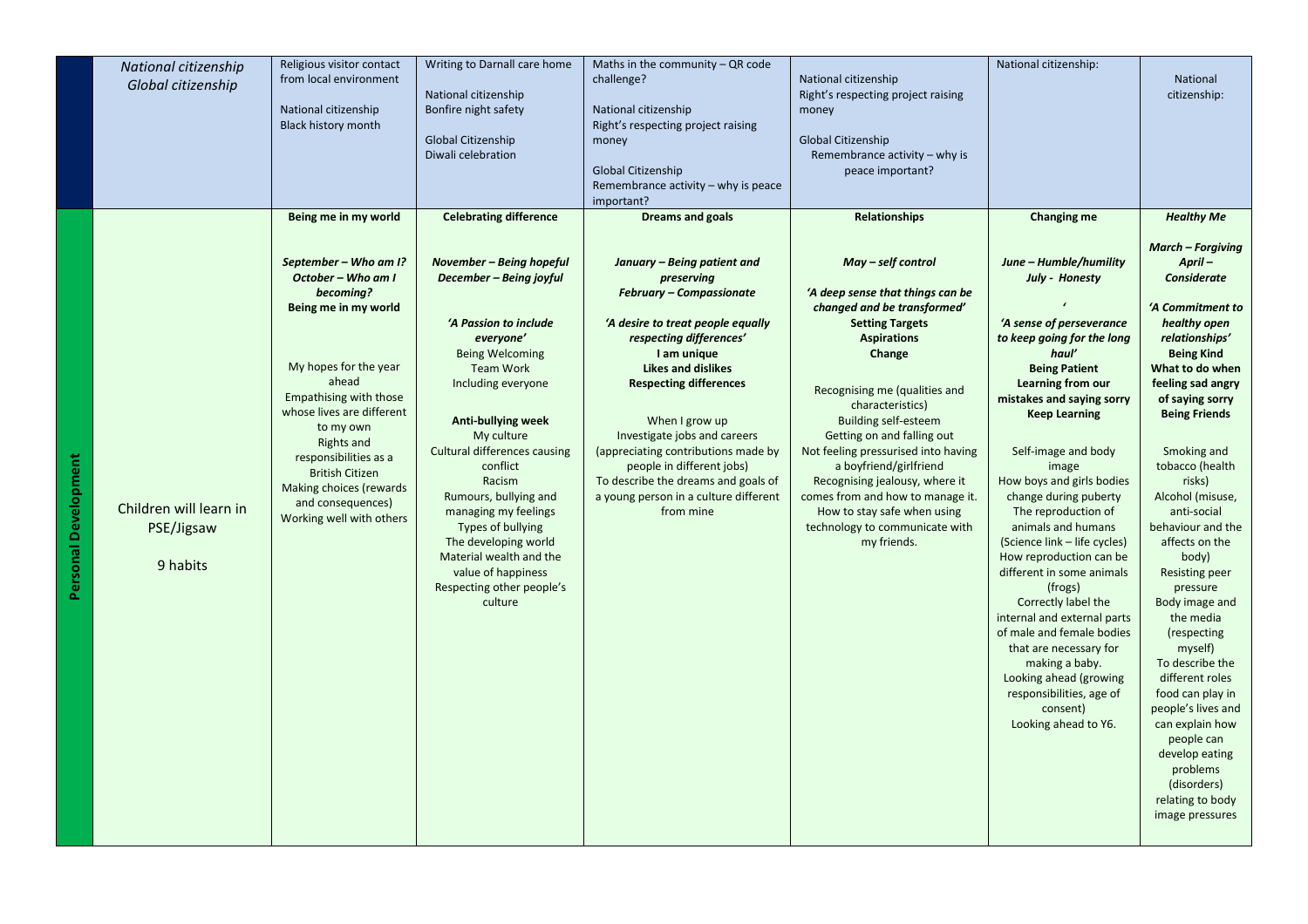|                             | National citizenship                             | Religious visitor contact<br>from local environment                                                                                                                                                                                                                                                                                        | Writing to Darnall care home                                                                                                                                                                                                                                                                                                                                                                                                                                 | Maths in the community $-QR$ code<br>challenge?                                                                                                                                                                                                                                                                                                                                                                                              | National citizenship                                                                                                                                                                                                                                                                                                                                                                                                                                                                     | National citizenship:                                                                                                                                                                                                                                                                                                                                                                                                                                                                                            | <b>National</b>                                                                                                                                                                                                                                                                                                                                                                                                    |
|-----------------------------|--------------------------------------------------|--------------------------------------------------------------------------------------------------------------------------------------------------------------------------------------------------------------------------------------------------------------------------------------------------------------------------------------------|--------------------------------------------------------------------------------------------------------------------------------------------------------------------------------------------------------------------------------------------------------------------------------------------------------------------------------------------------------------------------------------------------------------------------------------------------------------|----------------------------------------------------------------------------------------------------------------------------------------------------------------------------------------------------------------------------------------------------------------------------------------------------------------------------------------------------------------------------------------------------------------------------------------------|------------------------------------------------------------------------------------------------------------------------------------------------------------------------------------------------------------------------------------------------------------------------------------------------------------------------------------------------------------------------------------------------------------------------------------------------------------------------------------------|------------------------------------------------------------------------------------------------------------------------------------------------------------------------------------------------------------------------------------------------------------------------------------------------------------------------------------------------------------------------------------------------------------------------------------------------------------------------------------------------------------------|--------------------------------------------------------------------------------------------------------------------------------------------------------------------------------------------------------------------------------------------------------------------------------------------------------------------------------------------------------------------------------------------------------------------|
|                             | Global citizenship                               |                                                                                                                                                                                                                                                                                                                                            | National citizenship                                                                                                                                                                                                                                                                                                                                                                                                                                         |                                                                                                                                                                                                                                                                                                                                                                                                                                              | Right's respecting project raising                                                                                                                                                                                                                                                                                                                                                                                                                                                       |                                                                                                                                                                                                                                                                                                                                                                                                                                                                                                                  | citizenship:                                                                                                                                                                                                                                                                                                                                                                                                       |
|                             |                                                  | National citizenship<br><b>Black history month</b>                                                                                                                                                                                                                                                                                         | Bonfire night safety                                                                                                                                                                                                                                                                                                                                                                                                                                         | National citizenship<br>Right's respecting project raising                                                                                                                                                                                                                                                                                                                                                                                   | money                                                                                                                                                                                                                                                                                                                                                                                                                                                                                    |                                                                                                                                                                                                                                                                                                                                                                                                                                                                                                                  |                                                                                                                                                                                                                                                                                                                                                                                                                    |
|                             |                                                  |                                                                                                                                                                                                                                                                                                                                            | Global Citizenship<br>Diwali celebration                                                                                                                                                                                                                                                                                                                                                                                                                     | money                                                                                                                                                                                                                                                                                                                                                                                                                                        | Global Citizenship<br>Remembrance activity - why is                                                                                                                                                                                                                                                                                                                                                                                                                                      |                                                                                                                                                                                                                                                                                                                                                                                                                                                                                                                  |                                                                                                                                                                                                                                                                                                                                                                                                                    |
|                             |                                                  |                                                                                                                                                                                                                                                                                                                                            |                                                                                                                                                                                                                                                                                                                                                                                                                                                              | Global Citizenship                                                                                                                                                                                                                                                                                                                                                                                                                           | peace important?                                                                                                                                                                                                                                                                                                                                                                                                                                                                         |                                                                                                                                                                                                                                                                                                                                                                                                                                                                                                                  |                                                                                                                                                                                                                                                                                                                                                                                                                    |
|                             |                                                  |                                                                                                                                                                                                                                                                                                                                            |                                                                                                                                                                                                                                                                                                                                                                                                                                                              | Remembrance activity - why is peace<br>important?                                                                                                                                                                                                                                                                                                                                                                                            |                                                                                                                                                                                                                                                                                                                                                                                                                                                                                          |                                                                                                                                                                                                                                                                                                                                                                                                                                                                                                                  |                                                                                                                                                                                                                                                                                                                                                                                                                    |
|                             |                                                  | Being me in my world                                                                                                                                                                                                                                                                                                                       | <b>Celebrating difference</b>                                                                                                                                                                                                                                                                                                                                                                                                                                | <b>Dreams and goals</b>                                                                                                                                                                                                                                                                                                                                                                                                                      | <b>Relationships</b>                                                                                                                                                                                                                                                                                                                                                                                                                                                                     | Changing me                                                                                                                                                                                                                                                                                                                                                                                                                                                                                                      | <b>Healthy Me</b>                                                                                                                                                                                                                                                                                                                                                                                                  |
| <b>Personal Development</b> | Children will learn in<br>PSE/Jigsaw<br>9 habits | September - Who am I?<br>October - Who am I<br>becoming?<br>Being me in my world<br>My hopes for the year<br>ahead<br>Empathising with those<br>whose lives are different<br>to my own<br><b>Rights and</b><br>responsibilities as a<br><b>British Citizen</b><br>Making choices (rewards<br>and consequences)<br>Working well with others | November - Being hopeful<br>December - Being joyful<br>'A Passion to include<br>everyone'<br><b>Being Welcoming</b><br><b>Team Work</b><br>Including everyone<br><b>Anti-bullying week</b><br>My culture<br><b>Cultural differences causing</b><br>conflict<br>Racism<br>Rumours, bullying and<br>managing my feelings<br>Types of bullying<br>The developing world<br>Material wealth and the<br>value of happiness<br>Respecting other people's<br>culture | January - Being patient and<br>preserving<br><b>February - Compassionate</b><br>'A desire to treat people equally<br>respecting differences'<br>I am unique<br><b>Likes and dislikes</b><br><b>Respecting differences</b><br>When I grow up<br>Investigate jobs and careers<br>(appreciating contributions made by<br>people in different jobs)<br>To describe the dreams and goals of<br>a young person in a culture different<br>from mine | May - self control<br>'A deep sense that things can be<br>changed and be transformed'<br><b>Setting Targets</b><br><b>Aspirations</b><br>Change<br>Recognising me (qualities and<br>characteristics)<br><b>Building self-esteem</b><br>Getting on and falling out<br>Not feeling pressurised into having<br>a boyfriend/girlfriend<br>Recognising jealousy, where it<br>comes from and how to manage it.<br>How to stay safe when using<br>technology to communicate with<br>my friends. | June - Humble/humility<br>July - Honesty<br>'A sense of perseverance<br>to keep going for the long<br>haul'<br><b>Being Patient</b><br><b>Learning from our</b><br>mistakes and saying sorry<br><b>Keep Learning</b><br>Self-image and body<br>image<br>How boys and girls bodies<br>change during puberty<br>The reproduction of<br>animals and humans<br>(Science link – life cycles)<br>How reproduction can be<br>different in some animals<br>(frogs)<br>Correctly label the<br>internal and external parts | <b>March - Forgiving</b><br>April-<br>Considerate<br>'A Commitment to<br>healthy open<br>relationships'<br><b>Being Kind</b><br>What to do when<br>feeling sad angry<br>of saying sorry<br><b>Being Friends</b><br>Smoking and<br>tobacco (health<br>risks)<br>Alcohol (misuse,<br>anti-social<br>behaviour and the<br>affects on the<br>body)<br><b>Resisting peer</b><br>pressure<br>Body image and<br>the media |
|                             |                                                  |                                                                                                                                                                                                                                                                                                                                            |                                                                                                                                                                                                                                                                                                                                                                                                                                                              |                                                                                                                                                                                                                                                                                                                                                                                                                                              |                                                                                                                                                                                                                                                                                                                                                                                                                                                                                          | of male and female bodies<br>that are necessary for<br>making a baby.<br>Looking ahead (growing<br>responsibilities, age of<br>consent)                                                                                                                                                                                                                                                                                                                                                                          | (respecting<br>myself)<br>To describe the<br>different roles<br>food can play in<br>people's lives and                                                                                                                                                                                                                                                                                                             |
|                             |                                                  |                                                                                                                                                                                                                                                                                                                                            |                                                                                                                                                                                                                                                                                                                                                                                                                                                              |                                                                                                                                                                                                                                                                                                                                                                                                                                              |                                                                                                                                                                                                                                                                                                                                                                                                                                                                                          | Looking ahead to Y6.                                                                                                                                                                                                                                                                                                                                                                                                                                                                                             | can explain how<br>people can<br>develop eating<br>problems<br>(disorders)<br>relating to body<br>image pressures                                                                                                                                                                                                                                                                                                  |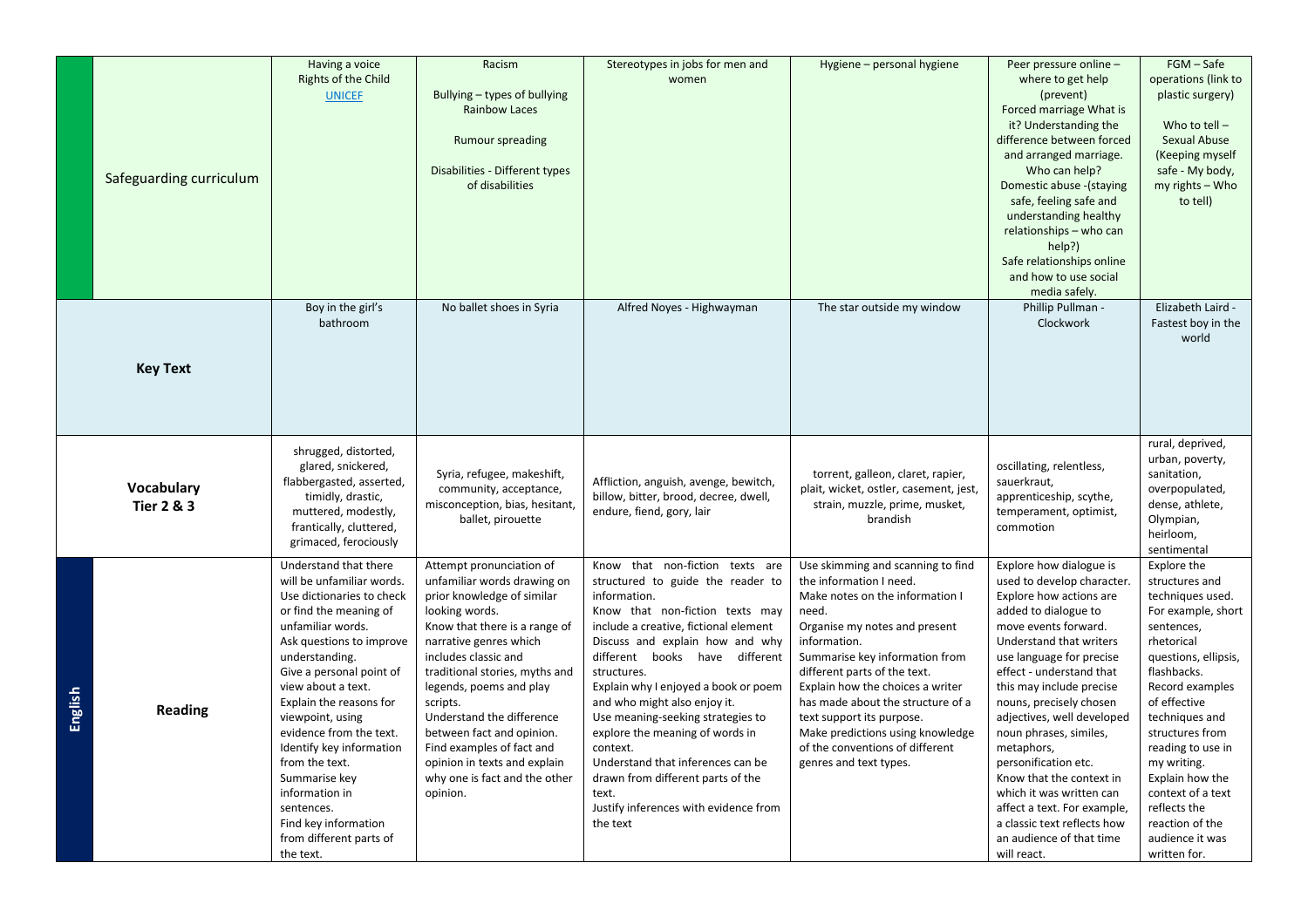|         |                         |                                       | Racism                         |                                          |                                        | Peer pressure online -      | FGM - Safe                          |
|---------|-------------------------|---------------------------------------|--------------------------------|------------------------------------------|----------------------------------------|-----------------------------|-------------------------------------|
|         |                         | Having a voice<br>Rights of the Child |                                | Stereotypes in jobs for men and<br>women | Hygiene – personal hygiene             | where to get help           | operations (link to                 |
|         |                         | <b>UNICEF</b>                         | Bullying – types of bullying   |                                          |                                        | (prevent)                   | plastic surgery)                    |
|         |                         |                                       | <b>Rainbow Laces</b>           |                                          |                                        | Forced marriage What is     |                                     |
|         |                         |                                       |                                |                                          |                                        | it? Understanding the       | Who to tell $-$                     |
|         |                         |                                       | <b>Rumour spreading</b>        |                                          |                                        | difference between forced   | Sexual Abuse                        |
|         |                         |                                       |                                |                                          |                                        | and arranged marriage.      | (Keeping myself                     |
|         |                         |                                       | Disabilities - Different types |                                          |                                        | Who can help?               | safe - My body,                     |
|         | Safeguarding curriculum |                                       | of disabilities                |                                          |                                        | Domestic abuse - (staying   | my rights - Who                     |
|         |                         |                                       |                                |                                          |                                        | safe, feeling safe and      | to tell)                            |
|         |                         |                                       |                                |                                          |                                        | understanding healthy       |                                     |
|         |                         |                                       |                                |                                          |                                        | relationships - who can     |                                     |
|         |                         |                                       |                                |                                          |                                        | help?)                      |                                     |
|         |                         |                                       |                                |                                          |                                        | Safe relationships online   |                                     |
|         |                         |                                       |                                |                                          |                                        | and how to use social       |                                     |
|         |                         |                                       |                                |                                          |                                        | media safely.               |                                     |
|         |                         | Boy in the girl's                     | No ballet shoes in Syria       | Alfred Noyes - Highwayman                | The star outside my window             | Phillip Pullman -           | Elizabeth Laird -                   |
|         |                         | bathroom                              |                                |                                          |                                        | Clockwork                   | Fastest boy in the                  |
|         |                         |                                       |                                |                                          |                                        |                             | world                               |
|         |                         |                                       |                                |                                          |                                        |                             |                                     |
|         | <b>Key Text</b>         |                                       |                                |                                          |                                        |                             |                                     |
|         |                         |                                       |                                |                                          |                                        |                             |                                     |
|         |                         |                                       |                                |                                          |                                        |                             |                                     |
|         |                         |                                       |                                |                                          |                                        |                             |                                     |
|         |                         |                                       |                                |                                          |                                        |                             |                                     |
|         |                         | shrugged, distorted,                  |                                |                                          |                                        |                             | rural, deprived,<br>urban, poverty, |
|         |                         | glared, snickered,                    | Syria, refugee, makeshift,     |                                          | torrent, galleon, claret, rapier,      | oscillating, relentless,    | sanitation,                         |
|         | Vocabulary              | flabbergasted, asserted,              | community, acceptance,         | Affliction, anguish, avenge, bewitch,    | plait, wicket, ostler, casement, jest, | sauerkraut,                 | overpopulated,                      |
|         | <b>Tier 2 &amp; 3</b>   | timidly, drastic,                     | misconception, bias, hesitant, | billow, bitter, brood, decree, dwell,    | strain, muzzle, prime, musket,         | apprenticeship, scythe,     | dense, athlete,                     |
|         |                         | muttered, modestly,                   | ballet, pirouette              | endure, fiend, gory, lair                | brandish                               | temperament, optimist,      | Olympian,                           |
|         |                         | frantically, cluttered,               |                                |                                          |                                        | commotion                   | heirloom,                           |
|         |                         | grimaced, ferociously                 |                                |                                          |                                        |                             | sentimental                         |
|         |                         | Understand that there                 | Attempt pronunciation of       | Know that non-fiction texts are          | Use skimming and scanning to find      | Explore how dialogue is     | Explore the                         |
|         |                         | will be unfamiliar words.             | unfamiliar words drawing on    | structured to guide the reader to        | the information I need.                | used to develop character.  | structures and                      |
|         |                         | Use dictionaries to check             | prior knowledge of similar     | information.                             | Make notes on the information I        | Explore how actions are     | techniques used.                    |
|         |                         | or find the meaning of                | looking words.                 | Know that non-fiction texts may          | need.                                  | added to dialogue to        | For example, short                  |
|         |                         | unfamiliar words.                     | Know that there is a range of  | include a creative, fictional element    | Organise my notes and present          | move events forward.        | sentences,                          |
|         |                         | Ask questions to improve              | narrative genres which         | Discuss and explain how and why          | information.                           | Understand that writers     | rhetorical                          |
|         |                         | understanding.                        | includes classic and           | different books have different           | Summarise key information from         | use language for precise    | questions, ellipsis,                |
|         |                         | Give a personal point of              | traditional stories, myths and | structures.                              | different parts of the text.           | effect - understand that    | flashbacks.                         |
|         |                         | view about a text.                    | legends, poems and play        | Explain why I enjoyed a book or poem     | Explain how the choices a writer       | this may include precise    | Record examples                     |
| English | <b>Reading</b>          | Explain the reasons for               | scripts.                       | and who might also enjoy it.             | has made about the structure of a      | nouns, precisely chosen     | of effective                        |
|         |                         | viewpoint, using                      | Understand the difference      | Use meaning-seeking strategies to        | text support its purpose.              | adjectives, well developed  | techniques and                      |
|         |                         | evidence from the text.               | between fact and opinion.      | explore the meaning of words in          | Make predictions using knowledge       | noun phrases, similes,      | structures from                     |
|         |                         | Identify key information              | Find examples of fact and      | context.                                 | of the conventions of different        | metaphors,                  | reading to use in                   |
|         |                         | from the text.                        | opinion in texts and explain   | Understand that inferences can be        | genres and text types.                 | personification etc.        | my writing.                         |
|         |                         | Summarise key                         | why one is fact and the other  | drawn from different parts of the        |                                        | Know that the context in    | Explain how the                     |
|         |                         | information in                        | opinion.                       | text.                                    |                                        | which it was written can    | context of a text                   |
|         |                         | sentences.                            |                                | Justify inferences with evidence from    |                                        | affect a text. For example, | reflects the                        |
|         |                         | Find key information                  |                                | the text                                 |                                        | a classic text reflects how | reaction of the                     |
|         |                         | from different parts of               |                                |                                          |                                        | an audience of that time    | audience it was                     |
|         |                         | the text.                             |                                |                                          |                                        | will react.                 | written for.                        |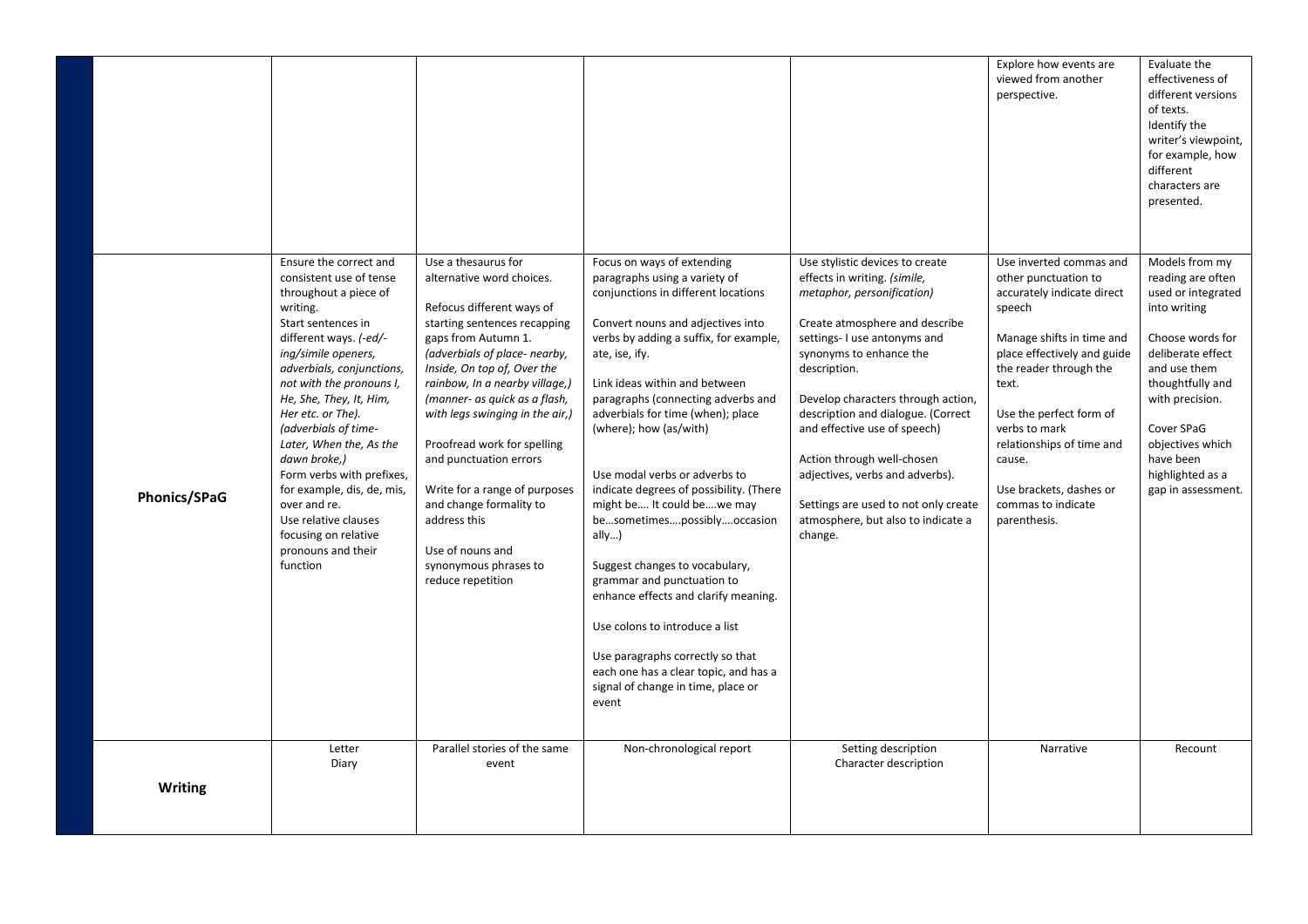|                |                                                                                                                                                                                                                                                                                                                                                                                                                                                                                                        |                                                                                                                                                                                                                                                                                                                                                                                                                                                                                                                   |                                                                                                                                                                                                                                                                                                                                                                                                                                                                                                                                                                                                                                                                                                                                                                      |                                                                                                                                                                                                                                                                                                                                                                                                                                                                                  | Explore how events are<br>viewed from another<br>perspective.                                                                                                                                                                                                                                                                              | Evaluate the<br>effectiveness of<br>different versions<br>of texts.<br>Identify the<br>writer's viewpoint,<br>for example, how<br>different<br>characters are<br>presented.                                                                                        |
|----------------|--------------------------------------------------------------------------------------------------------------------------------------------------------------------------------------------------------------------------------------------------------------------------------------------------------------------------------------------------------------------------------------------------------------------------------------------------------------------------------------------------------|-------------------------------------------------------------------------------------------------------------------------------------------------------------------------------------------------------------------------------------------------------------------------------------------------------------------------------------------------------------------------------------------------------------------------------------------------------------------------------------------------------------------|----------------------------------------------------------------------------------------------------------------------------------------------------------------------------------------------------------------------------------------------------------------------------------------------------------------------------------------------------------------------------------------------------------------------------------------------------------------------------------------------------------------------------------------------------------------------------------------------------------------------------------------------------------------------------------------------------------------------------------------------------------------------|----------------------------------------------------------------------------------------------------------------------------------------------------------------------------------------------------------------------------------------------------------------------------------------------------------------------------------------------------------------------------------------------------------------------------------------------------------------------------------|--------------------------------------------------------------------------------------------------------------------------------------------------------------------------------------------------------------------------------------------------------------------------------------------------------------------------------------------|--------------------------------------------------------------------------------------------------------------------------------------------------------------------------------------------------------------------------------------------------------------------|
| Phonics/SPaG   | Ensure the correct and<br>consistent use of tense<br>throughout a piece of<br>writing.<br>Start sentences in<br>different ways. (-ed/-<br>ing/simile openers,<br>adverbials, conjunctions,<br>not with the pronouns I,<br>He, She, They, It, Him,<br>Her etc. or The).<br>(adverbials of time-<br>Later, When the, As the<br>dawn broke,)<br>Form verbs with prefixes,<br>for example, dis, de, mis,<br>over and re.<br>Use relative clauses<br>focusing on relative<br>pronouns and their<br>function | Use a thesaurus for<br>alternative word choices.<br>Refocus different ways of<br>starting sentences recapping<br>gaps from Autumn 1.<br>(adverbials of place- nearby,<br>Inside, On top of, Over the<br>rainbow, In a nearby village,)<br>(manner- as quick as a flash,<br>with legs swinging in the air,)<br>Proofread work for spelling<br>and punctuation errors<br>Write for a range of purposes<br>and change formality to<br>address this<br>Use of nouns and<br>synonymous phrases to<br>reduce repetition | Focus on ways of extending<br>paragraphs using a variety of<br>conjunctions in different locations<br>Convert nouns and adjectives into<br>verbs by adding a suffix, for example,<br>ate, ise, ify.<br>Link ideas within and between<br>paragraphs (connecting adverbs and<br>adverbials for time (when); place<br>(where); how (as/with)<br>Use modal verbs or adverbs to<br>indicate degrees of possibility. (There<br>might be It could bewe may<br>besometimespossiblyoccasion<br>ally $)$<br>Suggest changes to vocabulary,<br>grammar and punctuation to<br>enhance effects and clarify meaning.<br>Use colons to introduce a list<br>Use paragraphs correctly so that<br>each one has a clear topic, and has a<br>signal of change in time, place or<br>event | Use stylistic devices to create<br>effects in writing. (simile,<br>metaphor, personification)<br>Create atmosphere and describe<br>settings- I use antonyms and<br>synonyms to enhance the<br>description.<br>Develop characters through action,<br>description and dialogue. (Correct<br>and effective use of speech)<br>Action through well-chosen<br>adjectives, verbs and adverbs).<br>Settings are used to not only create<br>atmosphere, but also to indicate a<br>change. | Use inverted commas and<br>other punctuation to<br>accurately indicate direct<br>speech<br>Manage shifts in time and<br>place effectively and guide<br>the reader through the<br>text.<br>Use the perfect form of<br>verbs to mark<br>relationships of time and<br>cause.<br>Use brackets, dashes or<br>commas to indicate<br>parenthesis. | Models from my<br>reading are often<br>used or integrated<br>into writing<br>Choose words for<br>deliberate effect<br>and use them<br>thoughtfully and<br>with precision.<br>Cover SPaG<br>objectives which<br>have been<br>highlighted as a<br>gap in assessment. |
| <b>Writing</b> | Letter<br>Diary                                                                                                                                                                                                                                                                                                                                                                                                                                                                                        | Parallel stories of the same<br>event                                                                                                                                                                                                                                                                                                                                                                                                                                                                             | Non-chronological report                                                                                                                                                                                                                                                                                                                                                                                                                                                                                                                                                                                                                                                                                                                                             | Setting description<br>Character description                                                                                                                                                                                                                                                                                                                                                                                                                                     | Narrative                                                                                                                                                                                                                                                                                                                                  | Recount                                                                                                                                                                                                                                                            |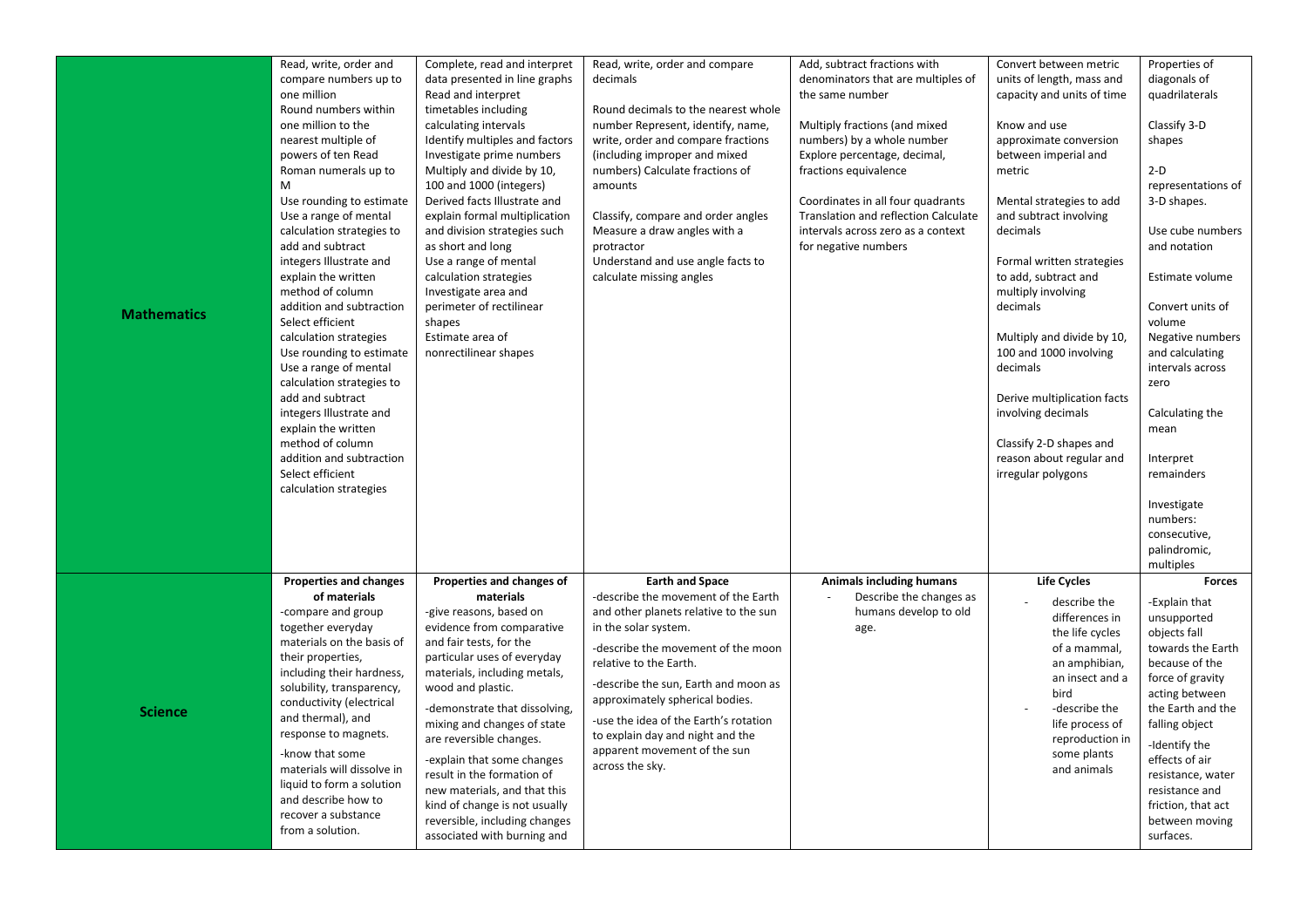| <b>Mathematics</b> | Read, write, order and<br>compare numbers up to<br>one million<br>Round numbers within<br>one million to the<br>nearest multiple of<br>powers of ten Read<br>Roman numerals up to<br>M<br>Use rounding to estimate<br>Use a range of mental<br>calculation strategies to<br>add and subtract<br>integers Illustrate and<br>explain the written<br>method of column<br>addition and subtraction<br>Select efficient<br>calculation strategies<br>Use rounding to estimate<br>Use a range of mental<br>calculation strategies to<br>add and subtract<br>integers Illustrate and<br>explain the written<br>method of column<br>addition and subtraction<br>Select efficient<br>calculation strategies | Complete, read and interpret<br>data presented in line graphs<br>Read and interpret<br>timetables including<br>calculating intervals<br>Identify multiples and factors<br>Investigate prime numbers<br>Multiply and divide by 10,<br>100 and 1000 (integers)<br>Derived facts Illustrate and<br>explain formal multiplication<br>and division strategies such<br>as short and long<br>Use a range of mental<br>calculation strategies<br>Investigate area and<br>perimeter of rectilinear<br>shapes<br>Estimate area of<br>nonrectilinear shapes | Read, write, order and compare<br>decimals<br>Round decimals to the nearest whole<br>number Represent, identify, name,<br>write, order and compare fractions<br>(including improper and mixed<br>numbers) Calculate fractions of<br>amounts<br>Classify, compare and order angles<br>Measure a draw angles with a<br>protractor<br>Understand and use angle facts to<br>calculate missing angles          | Add, subtract fractions with<br>denominators that are multiples of<br>the same number<br>Multiply fractions (and mixed<br>numbers) by a whole number<br>Explore percentage, decimal,<br>fractions equivalence<br>Coordinates in all four quadrants<br><b>Translation and reflection Calculate</b><br>intervals across zero as a context<br>for negative numbers | Convert between metric<br>units of length, mass and<br>capacity and units of time<br>Know and use<br>approximate conversion<br>between imperial and<br>metric<br>Mental strategies to add<br>and subtract involving<br>decimals<br>Formal written strategies<br>to add, subtract and<br>multiply involving<br>decimals<br>Multiply and divide by 10,<br>100 and 1000 involving<br>decimals<br>Derive multiplication facts<br>involving decimals<br>Classify 2-D shapes and<br>reason about regular and<br>irregular polygons | Properties of<br>diagonals of<br>quadrilaterals<br>Classify 3-D<br>shapes<br>$2-D$<br>representations of<br>3-D shapes.<br>Use cube numbers<br>and notation<br>Estimate volume<br>Convert units of<br>volume<br>Negative numbers<br>and calculating<br>intervals across<br>zero<br>Calculating the<br>mean<br>Interpret<br>remainders<br>Investigate<br>numbers:<br>consecutive,<br>palindromic,<br>multiples |
|--------------------|----------------------------------------------------------------------------------------------------------------------------------------------------------------------------------------------------------------------------------------------------------------------------------------------------------------------------------------------------------------------------------------------------------------------------------------------------------------------------------------------------------------------------------------------------------------------------------------------------------------------------------------------------------------------------------------------------|--------------------------------------------------------------------------------------------------------------------------------------------------------------------------------------------------------------------------------------------------------------------------------------------------------------------------------------------------------------------------------------------------------------------------------------------------------------------------------------------------------------------------------------------------|-----------------------------------------------------------------------------------------------------------------------------------------------------------------------------------------------------------------------------------------------------------------------------------------------------------------------------------------------------------------------------------------------------------|-----------------------------------------------------------------------------------------------------------------------------------------------------------------------------------------------------------------------------------------------------------------------------------------------------------------------------------------------------------------|------------------------------------------------------------------------------------------------------------------------------------------------------------------------------------------------------------------------------------------------------------------------------------------------------------------------------------------------------------------------------------------------------------------------------------------------------------------------------------------------------------------------------|---------------------------------------------------------------------------------------------------------------------------------------------------------------------------------------------------------------------------------------------------------------------------------------------------------------------------------------------------------------------------------------------------------------|
| <b>Science</b>     | <b>Properties and changes</b><br>of materials<br>-compare and group<br>together everyday<br>materials on the basis of<br>their properties,<br>including their hardness,<br>solubility, transparency,<br>conductivity (electrical<br>and thermal), and<br>response to magnets.<br>-know that some<br>materials will dissolve in<br>liquid to form a solution<br>and describe how to<br>recover a substance<br>from a solution.                                                                                                                                                                                                                                                                      | Properties and changes of<br>materials<br>-give reasons, based on<br>evidence from comparative<br>and fair tests, for the<br>particular uses of everyday<br>materials, including metals,<br>wood and plastic.<br>-demonstrate that dissolving,<br>mixing and changes of state<br>are reversible changes.<br>-explain that some changes<br>result in the formation of<br>new materials, and that this<br>kind of change is not usually<br>reversible, including changes<br>associated with burning and                                            | <b>Earth and Space</b><br>-describe the movement of the Earth<br>and other planets relative to the sun<br>in the solar system.<br>-describe the movement of the moon<br>relative to the Earth.<br>-describe the sun, Earth and moon as<br>approximately spherical bodies.<br>-use the idea of the Earth's rotation<br>to explain day and night and the<br>apparent movement of the sun<br>across the sky. | <b>Animals including humans</b><br>Describe the changes as<br>humans develop to old<br>age.                                                                                                                                                                                                                                                                     | <b>Life Cycles</b><br>describe the<br>differences in<br>the life cycles<br>of a mammal,<br>an amphibian,<br>an insect and a<br>bird<br>-describe the<br>life process of<br>reproduction in<br>some plants<br>and animals                                                                                                                                                                                                                                                                                                     | <b>Forces</b><br>-Explain that<br>unsupported<br>objects fall<br>towards the Earth<br>because of the<br>force of gravity<br>acting between<br>the Earth and the<br>falling object<br>-Identify the<br>effects of air<br>resistance, water<br>resistance and<br>friction, that act<br>between moving<br>surfaces.                                                                                              |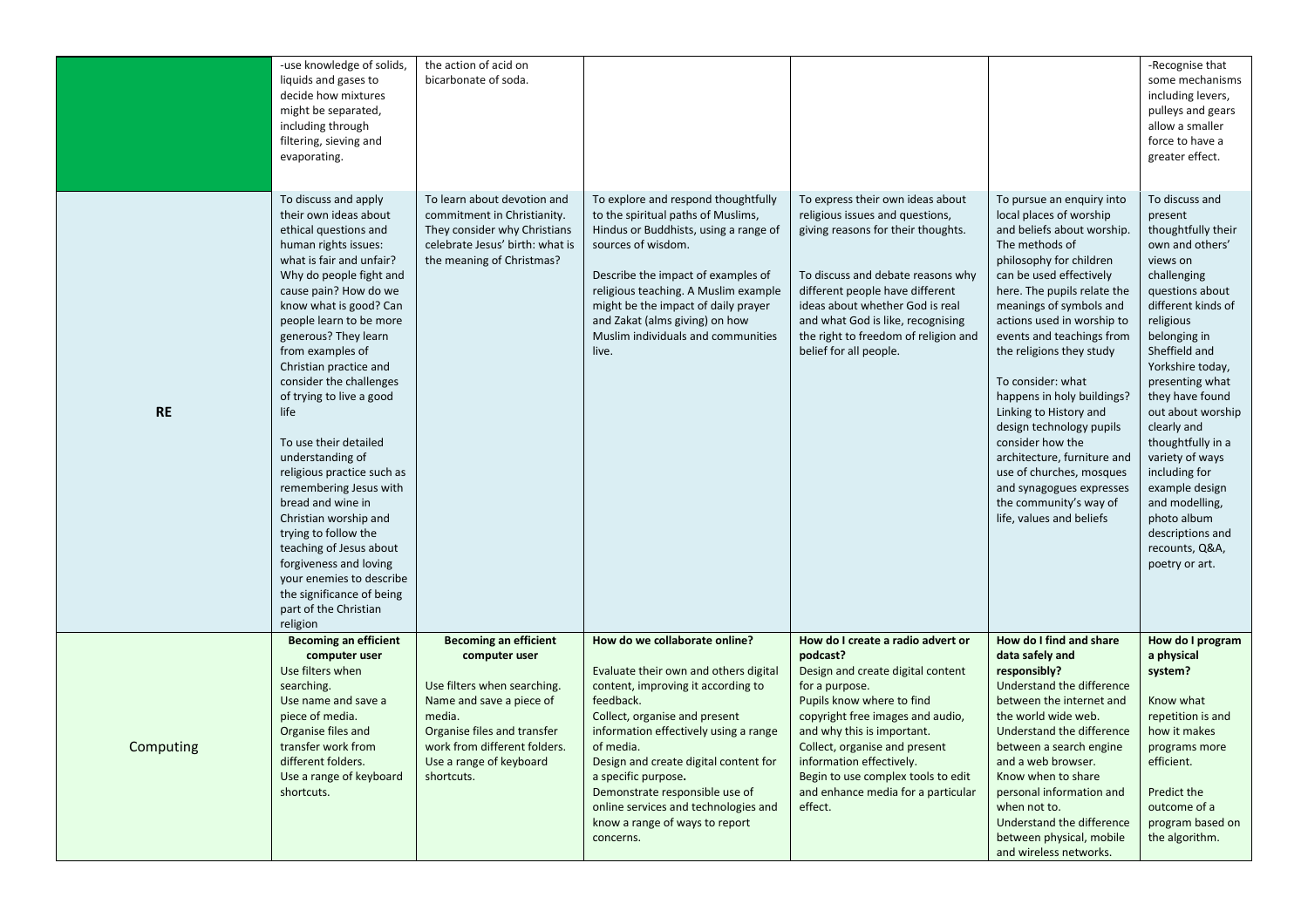|           | -use knowledge of solids,<br>liquids and gases to<br>decide how mixtures<br>might be separated,<br>including through<br>filtering, sieving and<br>evaporating.<br>To discuss and apply                                                                                                                                                                                                                                                                                                                                                                                                                                                                                         | the action of acid on<br>bicarbonate of soda.<br>To learn about devotion and                                                                                                                                               | To explore and respond thoughtfully                                                                                                                                                                                                                                                                                                                                                                       | To express their own ideas about                                                                                                                                                                                                                                                                                                                        | To pursue an enquiry into                                                                                                                                                                                                                                                                                                                                                                                                                                                                                                                                | -Recognise that<br>some mechanisms<br>including levers,<br>pulleys and gears<br>allow a smaller<br>force to have a<br>greater effect.<br>To discuss and                                                                                                                                                                                                                                                                              |
|-----------|--------------------------------------------------------------------------------------------------------------------------------------------------------------------------------------------------------------------------------------------------------------------------------------------------------------------------------------------------------------------------------------------------------------------------------------------------------------------------------------------------------------------------------------------------------------------------------------------------------------------------------------------------------------------------------|----------------------------------------------------------------------------------------------------------------------------------------------------------------------------------------------------------------------------|-----------------------------------------------------------------------------------------------------------------------------------------------------------------------------------------------------------------------------------------------------------------------------------------------------------------------------------------------------------------------------------------------------------|---------------------------------------------------------------------------------------------------------------------------------------------------------------------------------------------------------------------------------------------------------------------------------------------------------------------------------------------------------|----------------------------------------------------------------------------------------------------------------------------------------------------------------------------------------------------------------------------------------------------------------------------------------------------------------------------------------------------------------------------------------------------------------------------------------------------------------------------------------------------------------------------------------------------------|--------------------------------------------------------------------------------------------------------------------------------------------------------------------------------------------------------------------------------------------------------------------------------------------------------------------------------------------------------------------------------------------------------------------------------------|
| <b>RE</b> | their own ideas about<br>ethical questions and<br>human rights issues:<br>what is fair and unfair?<br>Why do people fight and<br>cause pain? How do we<br>know what is good? Can<br>people learn to be more<br>generous? They learn<br>from examples of<br>Christian practice and<br>consider the challenges<br>of trying to live a good<br>life<br>To use their detailed<br>understanding of<br>religious practice such as<br>remembering Jesus with<br>bread and wine in<br>Christian worship and<br>trying to follow the<br>teaching of Jesus about<br>forgiveness and loving<br>your enemies to describe<br>the significance of being<br>part of the Christian<br>religion | commitment in Christianity.<br>They consider why Christians<br>celebrate Jesus' birth: what is<br>the meaning of Christmas?                                                                                                | to the spiritual paths of Muslims,<br>Hindus or Buddhists, using a range of<br>sources of wisdom.<br>Describe the impact of examples of<br>religious teaching. A Muslim example<br>might be the impact of daily prayer<br>and Zakat (alms giving) on how<br>Muslim individuals and communities<br>live.                                                                                                   | religious issues and questions,<br>giving reasons for their thoughts.<br>To discuss and debate reasons why<br>different people have different<br>ideas about whether God is real<br>and what God is like, recognising<br>the right to freedom of religion and<br>belief for all people.                                                                 | local places of worship<br>and beliefs about worship.<br>The methods of<br>philosophy for children<br>can be used effectively<br>here. The pupils relate the<br>meanings of symbols and<br>actions used in worship to<br>events and teachings from<br>the religions they study<br>To consider: what<br>happens in holy buildings?<br>Linking to History and<br>design technology pupils<br>consider how the<br>architecture, furniture and<br>use of churches, mosques<br>and synagogues expresses<br>the community's way of<br>life, values and beliefs | present<br>thoughtfully their<br>own and others'<br>views on<br>challenging<br>questions about<br>different kinds of<br>religious<br>belonging in<br>Sheffield and<br>Yorkshire today,<br>presenting what<br>they have found<br>out about worship<br>clearly and<br>thoughtfully in a<br>variety of ways<br>including for<br>example design<br>and modelling,<br>photo album<br>descriptions and<br>recounts, Q&A,<br>poetry or art. |
| Computing | <b>Becoming an efficient</b><br>computer user<br>Use filters when<br>searching.<br>Use name and save a<br>piece of media.<br>Organise files and<br>transfer work from<br>different folders.<br>Use a range of keyboard<br>shortcuts.                                                                                                                                                                                                                                                                                                                                                                                                                                           | <b>Becoming an efficient</b><br>computer user<br>Use filters when searching.<br>Name and save a piece of<br>media.<br>Organise files and transfer<br>work from different folders.<br>Use a range of keyboard<br>shortcuts. | How do we collaborate online?<br>Evaluate their own and others digital<br>content, improving it according to<br>feedback.<br>Collect, organise and present<br>information effectively using a range<br>of media.<br>Design and create digital content for<br>a specific purpose.<br>Demonstrate responsible use of<br>online services and technologies and<br>know a range of ways to report<br>concerns. | How do I create a radio advert or<br>podcast?<br>Design and create digital content<br>for a purpose.<br>Pupils know where to find<br>copyright free images and audio,<br>and why this is important.<br>Collect, organise and present<br>information effectively.<br>Begin to use complex tools to edit<br>and enhance media for a particular<br>effect. | How do I find and share<br>data safely and<br>responsibly?<br>Understand the difference<br>between the internet and<br>the world wide web.<br>Understand the difference<br>between a search engine<br>and a web browser.<br>Know when to share<br>personal information and<br>when not to.<br>Understand the difference<br>between physical, mobile<br>and wireless networks.                                                                                                                                                                            | How do I program<br>a physical<br>system?<br>Know what<br>repetition is and<br>how it makes<br>programs more<br>efficient.<br>Predict the<br>outcome of a<br>program based on<br>the algorithm.                                                                                                                                                                                                                                      |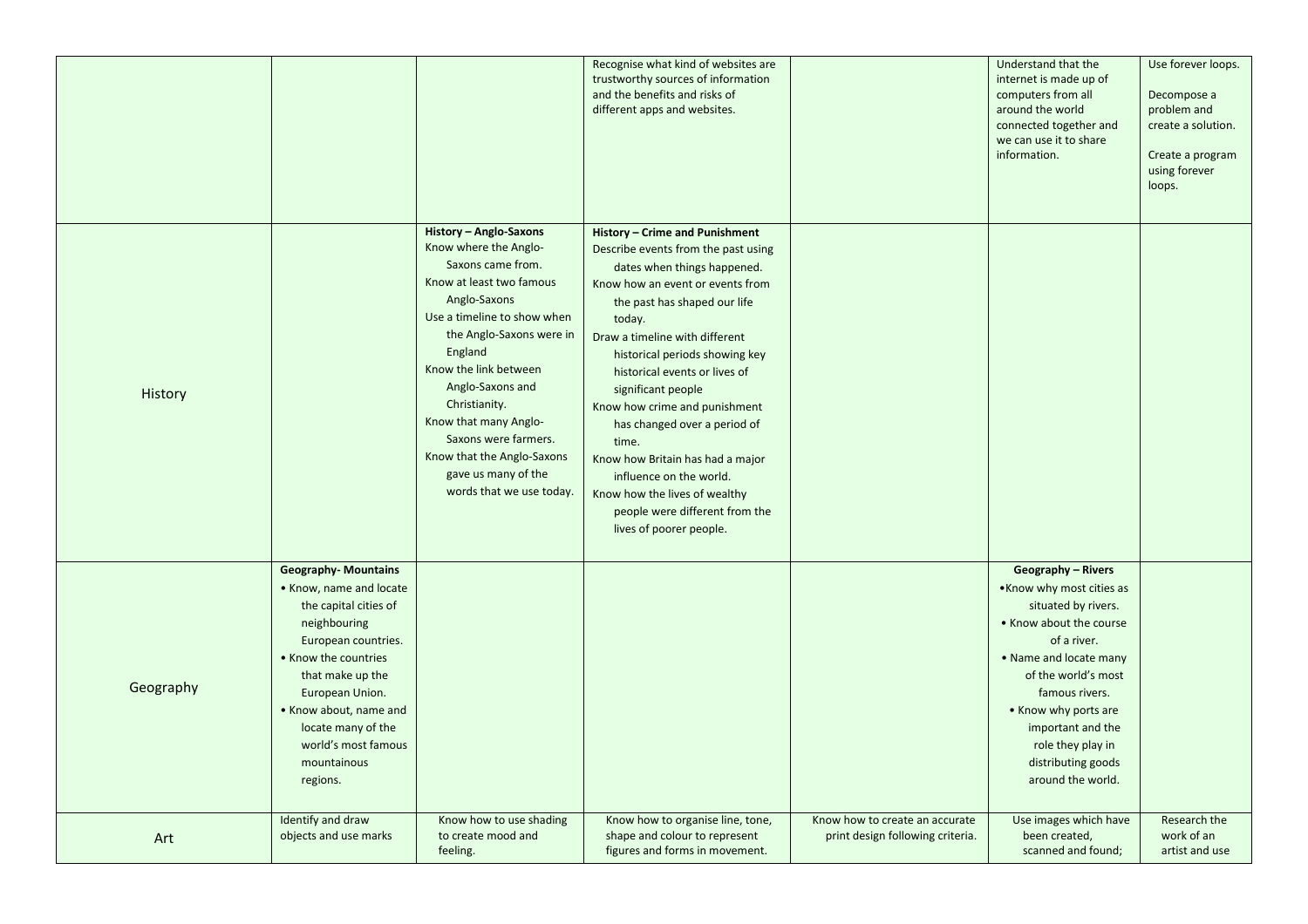|           |                                                                                                                                                                                                                                                                                        |                                                                                                                                                                                                                                                                                                                                                                                        | Recognise what kind of websites are<br>trustworthy sources of information<br>and the benefits and risks of<br>different apps and websites.                                                                                                                                                                                                                                                                                                                                                                                                           |                                                                    | Understand that the<br>internet is made up of<br>computers from all<br>around the world<br>connected together and<br>we can use it to share<br>information.                                                                                                                                             | Use forever loops.<br>Decompose a<br>problem and<br>create a solution.<br>Create a program<br>using forever<br>loops. |
|-----------|----------------------------------------------------------------------------------------------------------------------------------------------------------------------------------------------------------------------------------------------------------------------------------------|----------------------------------------------------------------------------------------------------------------------------------------------------------------------------------------------------------------------------------------------------------------------------------------------------------------------------------------------------------------------------------------|------------------------------------------------------------------------------------------------------------------------------------------------------------------------------------------------------------------------------------------------------------------------------------------------------------------------------------------------------------------------------------------------------------------------------------------------------------------------------------------------------------------------------------------------------|--------------------------------------------------------------------|---------------------------------------------------------------------------------------------------------------------------------------------------------------------------------------------------------------------------------------------------------------------------------------------------------|-----------------------------------------------------------------------------------------------------------------------|
| History   |                                                                                                                                                                                                                                                                                        | History - Anglo-Saxons<br>Know where the Anglo-<br>Saxons came from.<br>Know at least two famous<br>Anglo-Saxons<br>Use a timeline to show when<br>the Anglo-Saxons were in<br>England<br>Know the link between<br>Anglo-Saxons and<br>Christianity.<br>Know that many Anglo-<br>Saxons were farmers.<br>Know that the Anglo-Saxons<br>gave us many of the<br>words that we use today. | History - Crime and Punishment<br>Describe events from the past using<br>dates when things happened.<br>Know how an event or events from<br>the past has shaped our life<br>today.<br>Draw a timeline with different<br>historical periods showing key<br>historical events or lives of<br>significant people<br>Know how crime and punishment<br>has changed over a period of<br>time.<br>Know how Britain has had a major<br>influence on the world.<br>Know how the lives of wealthy<br>people were different from the<br>lives of poorer people. |                                                                    |                                                                                                                                                                                                                                                                                                         |                                                                                                                       |
| Geography | <b>Geography-Mountains</b><br>• Know, name and locate<br>the capital cities of<br>neighbouring<br>European countries.<br>• Know the countries<br>that make up the<br>European Union.<br>• Know about, name and<br>locate many of the<br>world's most famous<br>mountainous<br>regions. |                                                                                                                                                                                                                                                                                                                                                                                        |                                                                                                                                                                                                                                                                                                                                                                                                                                                                                                                                                      |                                                                    | <b>Geography - Rivers</b><br>. Know why most cities as<br>situated by rivers.<br>• Know about the course<br>of a river.<br>• Name and locate many<br>of the world's most<br>famous rivers.<br>• Know why ports are<br>important and the<br>role they play in<br>distributing goods<br>around the world. |                                                                                                                       |
| Art       | Identify and draw<br>objects and use marks                                                                                                                                                                                                                                             | Know how to use shading<br>to create mood and<br>feeling.                                                                                                                                                                                                                                                                                                                              | Know how to organise line, tone,<br>shape and colour to represent<br>figures and forms in movement.                                                                                                                                                                                                                                                                                                                                                                                                                                                  | Know how to create an accurate<br>print design following criteria. | Use images which have<br>been created,<br>scanned and found;                                                                                                                                                                                                                                            | Research the<br>work of an<br>artist and use                                                                          |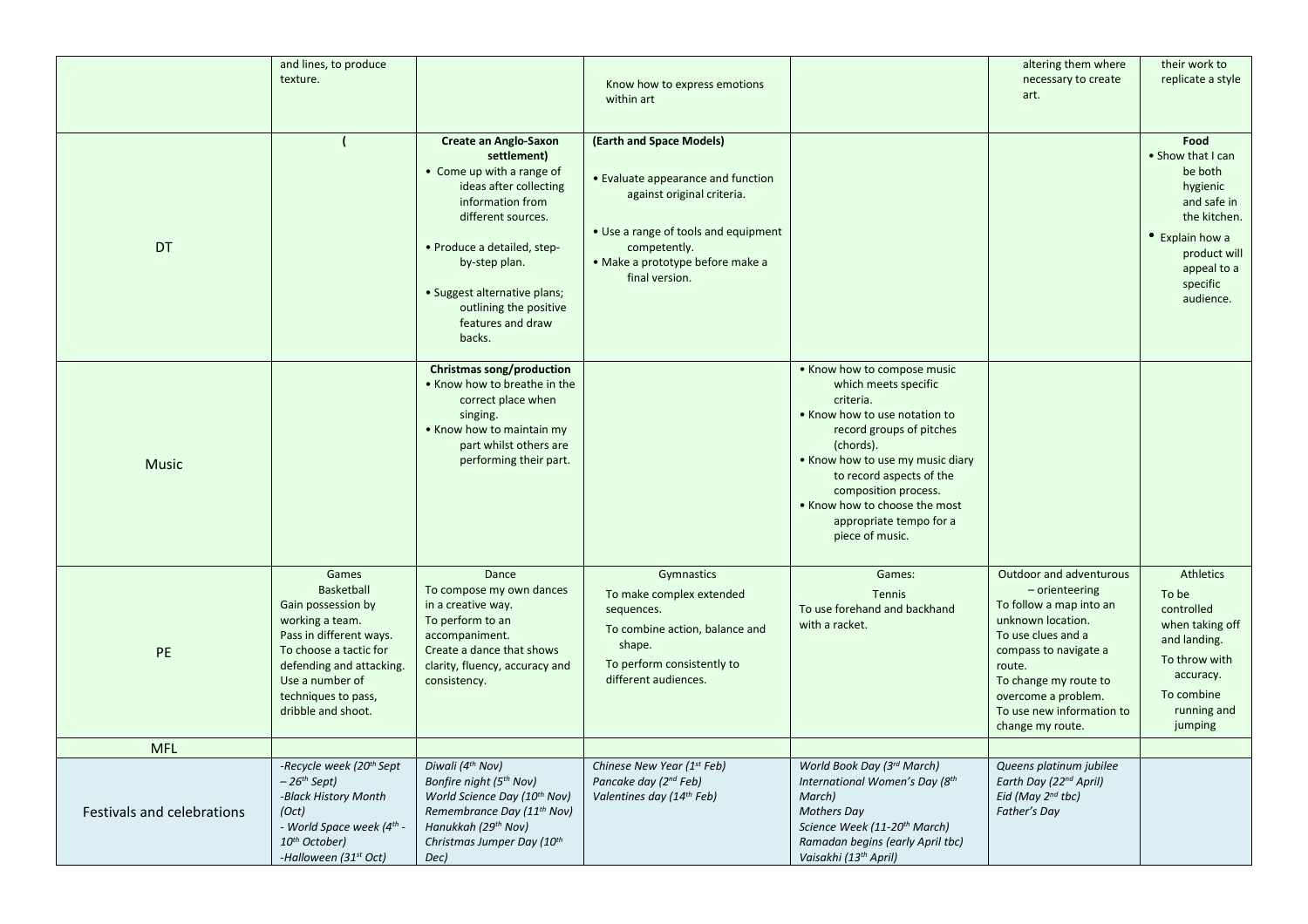|                            | and lines, to produce                            |                                                                     |                                                    |                                               | altering them where                         | their work to               |
|----------------------------|--------------------------------------------------|---------------------------------------------------------------------|----------------------------------------------------|-----------------------------------------------|---------------------------------------------|-----------------------------|
|                            | texture.                                         |                                                                     |                                                    |                                               | necessary to create                         | replicate a style           |
|                            |                                                  |                                                                     | Know how to express emotions<br>within art         |                                               | art.                                        |                             |
|                            |                                                  |                                                                     |                                                    |                                               |                                             |                             |
|                            |                                                  |                                                                     |                                                    |                                               |                                             |                             |
|                            |                                                  | <b>Create an Anglo-Saxon</b>                                        | (Earth and Space Models)                           |                                               |                                             | Food                        |
|                            |                                                  | settlement)                                                         |                                                    |                                               |                                             | • Show that I can           |
|                            |                                                  | • Come up with a range of                                           | • Evaluate appearance and function                 |                                               |                                             | be both                     |
|                            |                                                  | ideas after collecting<br>information from                          | against original criteria.                         |                                               |                                             | hygienic<br>and safe in     |
|                            |                                                  | different sources.                                                  |                                                    |                                               |                                             | the kitchen.                |
|                            |                                                  |                                                                     | • Use a range of tools and equipment               |                                               |                                             |                             |
| DT                         |                                                  | • Produce a detailed, step-                                         | competently.                                       |                                               |                                             | • Explain how a             |
|                            |                                                  | by-step plan.                                                       | · Make a prototype before make a                   |                                               |                                             | product will<br>appeal to a |
|                            |                                                  |                                                                     | final version.                                     |                                               |                                             | specific                    |
|                            |                                                  | • Suggest alternative plans;                                        |                                                    |                                               |                                             | audience.                   |
|                            |                                                  | outlining the positive                                              |                                                    |                                               |                                             |                             |
|                            |                                                  | features and draw<br>backs.                                         |                                                    |                                               |                                             |                             |
|                            |                                                  |                                                                     |                                                    |                                               |                                             |                             |
|                            |                                                  | Christmas song/production                                           |                                                    | • Know how to compose music                   |                                             |                             |
|                            |                                                  | . Know how to breathe in the                                        |                                                    | which meets specific                          |                                             |                             |
|                            |                                                  | correct place when                                                  |                                                    | criteria.                                     |                                             |                             |
|                            |                                                  | singing.                                                            |                                                    | . Know how to use notation to                 |                                             |                             |
|                            |                                                  | • Know how to maintain my                                           |                                                    | record groups of pitches                      |                                             |                             |
|                            |                                                  | part whilst others are<br>performing their part.                    |                                                    | (chords).<br>• Know how to use my music diary |                                             |                             |
| <b>Music</b>               |                                                  |                                                                     |                                                    | to record aspects of the                      |                                             |                             |
|                            |                                                  |                                                                     |                                                    | composition process.                          |                                             |                             |
|                            |                                                  |                                                                     |                                                    | • Know how to choose the most                 |                                             |                             |
|                            |                                                  |                                                                     |                                                    | appropriate tempo for a                       |                                             |                             |
|                            |                                                  |                                                                     |                                                    | piece of music.                               |                                             |                             |
|                            |                                                  |                                                                     |                                                    |                                               |                                             |                             |
|                            | Games                                            | Dance                                                               | Gymnastics                                         | Games:                                        | Outdoor and adventurous                     | <b>Athletics</b>            |
|                            | Basketball                                       | To compose my own dances                                            | To make complex extended                           | <b>Tennis</b>                                 | $-$ orienteering                            | To be                       |
|                            | Gain possession by                               | in a creative way.                                                  | sequences.                                         | To use forehand and backhand                  | To follow a map into an                     | controlled                  |
|                            | working a team.<br>Pass in different ways.       | To perform to an<br>accompaniment.                                  | To combine action, balance and                     | with a racket.                                | unknown location.<br>To use clues and a     | when taking off             |
| <b>PE</b>                  | To choose a tactic for                           | Create a dance that shows                                           | shape.                                             |                                               | compass to navigate a                       | and landing.                |
|                            | defending and attacking.                         | clarity, fluency, accuracy and                                      | To perform consistently to                         |                                               | route.                                      | To throw with               |
|                            | Use a number of                                  | consistency.                                                        | different audiences.                               |                                               | To change my route to                       | accuracy.                   |
|                            | techniques to pass,                              |                                                                     |                                                    |                                               | overcome a problem.                         | To combine                  |
|                            | dribble and shoot.                               |                                                                     |                                                    |                                               | To use new information to                   | running and                 |
|                            |                                                  |                                                                     |                                                    |                                               | change my route.                            | jumping                     |
| <b>MFL</b>                 |                                                  |                                                                     |                                                    |                                               |                                             |                             |
|                            | -Recycle week (20 <sup>th</sup> Sept             | Diwali (4 <sup>th</sup> Nov)                                        | Chinese New Year (1st Feb)                         | World Book Day (3rd March)                    | Queens platinum jubilee                     |                             |
|                            | - 26 <sup>th</sup> Sept)<br>-Black History Month | Bonfire night (5 <sup>th</sup> Nov)<br>World Science Day (10th Nov) | Pancake day (2nd Feb)<br>Valentines day (14th Feb) | International Women's Day (8th<br>March)      | Earth Day (22nd April)<br>Eid (May 2nd tbc) |                             |
| Festivals and celebrations | (Oct)                                            | Remembrance Day (11 <sup>th</sup> Nov)                              |                                                    | <b>Mothers Day</b>                            | Father's Day                                |                             |
|                            | - World Space week (4 <sup>th</sup> -            | Hanukkah (29 <sup>th</sup> Nov)                                     |                                                    | Science Week (11-20 <sup>th</sup> March)      |                                             |                             |
|                            | 10 <sup>th</sup> October)                        | Christmas Jumper Day (10th                                          |                                                    | Ramadan begins (early April tbc)              |                                             |                             |
|                            | -Halloween (31st Oct)                            | Dec)                                                                |                                                    | Vaisakhi (13th April)                         |                                             |                             |